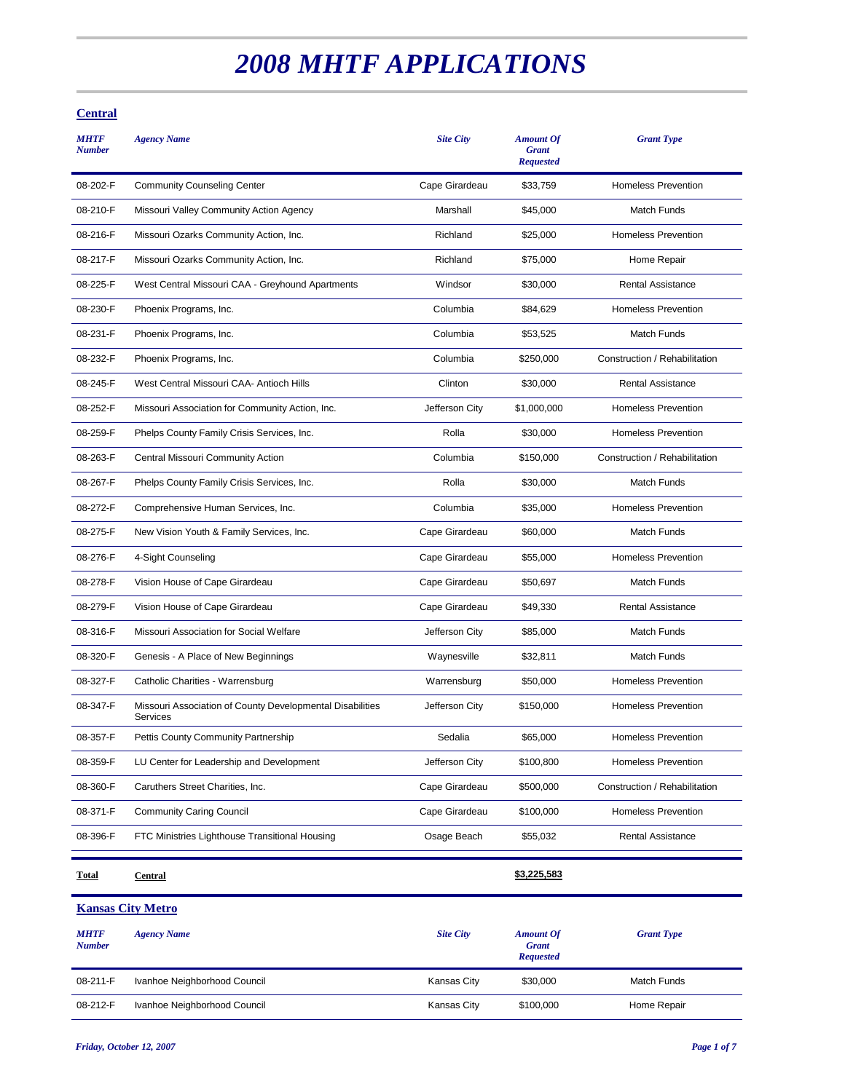# *2008 MHTF APPLICATIONS*

## **Central**

| <b>MHTF</b><br><b>Number</b> | <b>Agency Name</b>                                                    | <b>Site City</b> | <b>Amount Of</b><br><b>Grant</b><br><b>Requested</b> | <b>Grant Type</b>             |
|------------------------------|-----------------------------------------------------------------------|------------------|------------------------------------------------------|-------------------------------|
| 08-202-F                     | <b>Community Counseling Center</b>                                    | Cape Girardeau   | \$33,759                                             | <b>Homeless Prevention</b>    |
| 08-210-F                     | Missouri Valley Community Action Agency                               | Marshall         | \$45,000                                             | Match Funds                   |
| 08-216-F                     | Missouri Ozarks Community Action, Inc.                                | Richland         | \$25,000                                             | <b>Homeless Prevention</b>    |
| 08-217-F                     | Missouri Ozarks Community Action, Inc.                                | Richland         | \$75,000                                             | Home Repair                   |
| 08-225-F                     | West Central Missouri CAA - Greyhound Apartments                      | Windsor          | \$30,000                                             | <b>Rental Assistance</b>      |
| 08-230-F                     | Phoenix Programs, Inc.                                                | Columbia         | \$84,629                                             | <b>Homeless Prevention</b>    |
| 08-231-F                     | Phoenix Programs, Inc.                                                | Columbia         | \$53,525                                             | <b>Match Funds</b>            |
| 08-232-F                     | Phoenix Programs, Inc.                                                | Columbia         | \$250,000                                            | Construction / Rehabilitation |
| 08-245-F                     | West Central Missouri CAA- Antioch Hills                              | Clinton          | \$30,000                                             | <b>Rental Assistance</b>      |
| 08-252-F                     | Missouri Association for Community Action, Inc.                       | Jefferson City   | \$1,000,000                                          | <b>Homeless Prevention</b>    |
| 08-259-F                     | Phelps County Family Crisis Services, Inc.                            | Rolla            | \$30,000                                             | <b>Homeless Prevention</b>    |
| 08-263-F                     | Central Missouri Community Action                                     | Columbia         | \$150,000                                            | Construction / Rehabilitation |
| 08-267-F                     | Phelps County Family Crisis Services, Inc.                            | Rolla            | \$30,000                                             | <b>Match Funds</b>            |
| 08-272-F                     | Comprehensive Human Services, Inc.                                    | Columbia         | \$35,000                                             | <b>Homeless Prevention</b>    |
| 08-275-F                     | New Vision Youth & Family Services, Inc.                              | Cape Girardeau   | \$60,000                                             | <b>Match Funds</b>            |
| 08-276-F                     | 4-Sight Counseling                                                    | Cape Girardeau   | \$55,000                                             | <b>Homeless Prevention</b>    |
| 08-278-F                     | Vision House of Cape Girardeau                                        | Cape Girardeau   | \$50,697                                             | <b>Match Funds</b>            |
| 08-279-F                     | Vision House of Cape Girardeau                                        | Cape Girardeau   | \$49,330                                             | <b>Rental Assistance</b>      |
| 08-316-F                     | Missouri Association for Social Welfare                               | Jefferson City   | \$85,000                                             | <b>Match Funds</b>            |
| 08-320-F                     | Genesis - A Place of New Beginnings                                   | Waynesville      | \$32,811                                             | Match Funds                   |
| 08-327-F                     | Catholic Charities - Warrensburg                                      | Warrensburg      | \$50,000                                             | <b>Homeless Prevention</b>    |
| 08-347-F                     | Missouri Association of County Developmental Disabilities<br>Services | Jefferson City   | \$150,000                                            | <b>Homeless Prevention</b>    |
| 08-357-F                     | Pettis County Community Partnership                                   | Sedalia          | \$65,000                                             | <b>Homeless Prevention</b>    |
| 08-359-F                     | LU Center for Leadership and Development                              | Jefferson City   | \$100,800                                            | <b>Homeless Prevention</b>    |
| 08-360-F                     | Caruthers Street Charities, Inc.                                      | Cape Girardeau   | \$500,000                                            | Construction / Rehabilitation |
| 08-371-F                     | <b>Community Caring Council</b>                                       | Cape Girardeau   | \$100,000                                            | Homeless Prevention           |
| 08-396-F                     | FTC Ministries Lighthouse Transitional Housing                        | Osage Beach      | \$55,032                                             | Rental Assistance             |
|                              |                                                                       |                  |                                                      |                               |

**Total Central \$3,225,583**

**Kansas City Metro** *MHTF Number Agency Name Site City Amount Of Grant Requested Grant Type* 08-211-F Ivanhoe Neighborhood Council Council Council Kansas City \$30,000 Match Funds 08-212-F Ivanhoe Neighborhood Council Council Council Kansas City \$100,000 Home Repair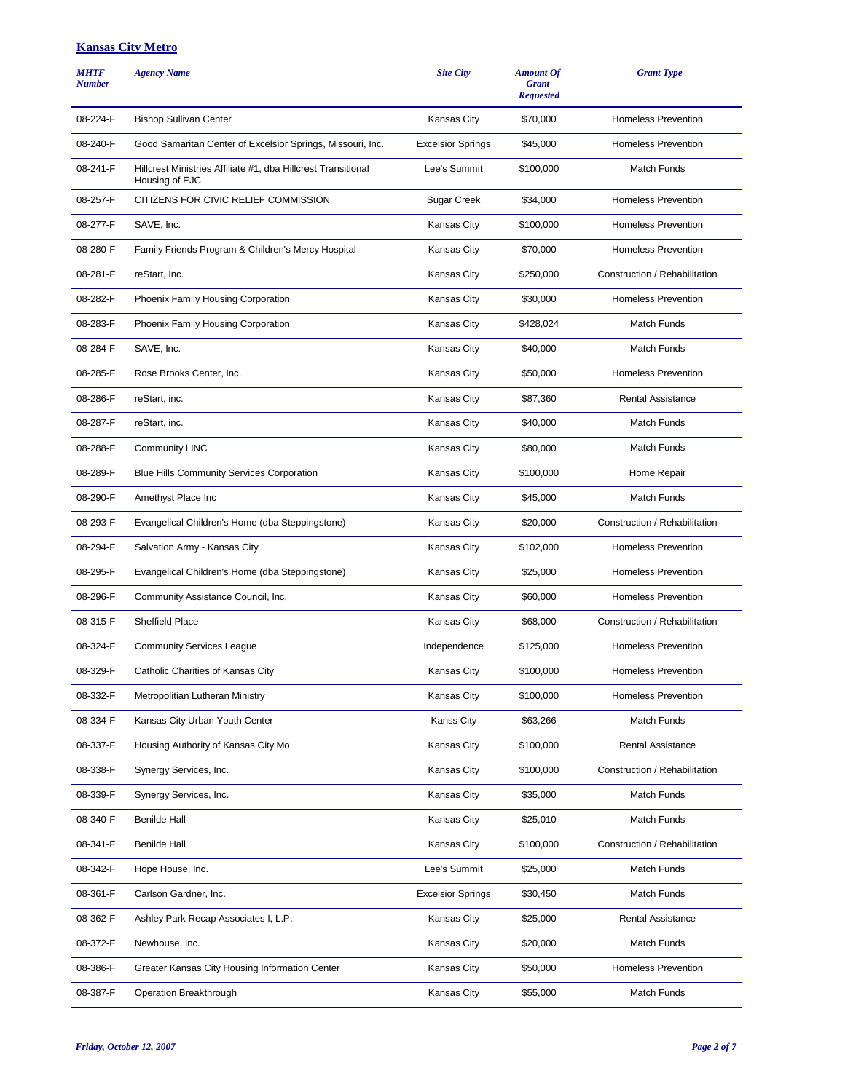#### **Kansas City Metro**

| <b>MHTF</b><br><b>Number</b> | <b>Agency Name</b>                                                              | <b>Site City</b>         | <b>Amount Of</b><br><b>Grant</b><br><b>Requested</b> | <b>Grant Type</b>             |
|------------------------------|---------------------------------------------------------------------------------|--------------------------|------------------------------------------------------|-------------------------------|
| 08-224-F                     | <b>Bishop Sullivan Center</b>                                                   | <b>Kansas City</b>       | \$70,000                                             | <b>Homeless Prevention</b>    |
| 08-240-F                     | Good Samaritan Center of Excelsior Springs, Missouri, Inc.                      | <b>Excelsior Springs</b> | \$45,000                                             | <b>Homeless Prevention</b>    |
| 08-241-F                     | Hillcrest Ministries Affiliate #1, dba Hillcrest Transitional<br>Housing of EJC | Lee's Summit             | \$100,000                                            | <b>Match Funds</b>            |
| 08-257-F                     | CITIZENS FOR CIVIC RELIEF COMMISSION                                            | Sugar Creek              | \$34,000                                             | <b>Homeless Prevention</b>    |
| 08-277-F                     | SAVE, Inc.                                                                      | Kansas City              | \$100,000                                            | <b>Homeless Prevention</b>    |
| 08-280-F                     | Family Friends Program & Children's Mercy Hospital                              | <b>Kansas City</b>       | \$70,000                                             | <b>Homeless Prevention</b>    |
| 08-281-F                     | reStart, Inc.                                                                   | Kansas City              | \$250,000                                            | Construction / Rehabilitation |
| 08-282-F                     | Phoenix Family Housing Corporation                                              | <b>Kansas City</b>       | \$30,000                                             | <b>Homeless Prevention</b>    |
| 08-283-F                     | Phoenix Family Housing Corporation                                              | Kansas City              | \$428,024                                            | <b>Match Funds</b>            |
| 08-284-F                     | SAVE, Inc.                                                                      | Kansas City              | \$40.000                                             | <b>Match Funds</b>            |
| 08-285-F                     | Rose Brooks Center, Inc.                                                        | Kansas City              | \$50,000                                             | <b>Homeless Prevention</b>    |
| 08-286-F                     | reStart, inc.                                                                   | <b>Kansas City</b>       | \$87,360                                             | <b>Rental Assistance</b>      |
| 08-287-F                     | reStart, inc.                                                                   | <b>Kansas City</b>       | \$40,000                                             | <b>Match Funds</b>            |
| 08-288-F                     | <b>Community LINC</b>                                                           | Kansas City              | \$80,000                                             | <b>Match Funds</b>            |
| 08-289-F                     | <b>Blue Hills Community Services Corporation</b>                                | Kansas City              | \$100,000                                            | Home Repair                   |
| 08-290-F                     | Amethyst Place Inc                                                              | <b>Kansas City</b>       | \$45,000                                             | <b>Match Funds</b>            |
| 08-293-F                     | Evangelical Children's Home (dba Steppingstone)                                 | <b>Kansas City</b>       | \$20,000                                             | Construction / Rehabilitation |
| 08-294-F                     | Salvation Army - Kansas City                                                    | <b>Kansas City</b>       | \$102,000                                            | <b>Homeless Prevention</b>    |
| 08-295-F                     | Evangelical Children's Home (dba Steppingstone)                                 | Kansas City              | \$25,000                                             | <b>Homeless Prevention</b>    |
| 08-296-F                     | Community Assistance Council, Inc.                                              | <b>Kansas City</b>       | \$60,000                                             | <b>Homeless Prevention</b>    |
| 08-315-F                     | <b>Sheffield Place</b>                                                          | Kansas City              | \$68,000                                             | Construction / Rehabilitation |
| 08-324-F                     | <b>Community Services League</b>                                                | Independence             | \$125,000                                            | <b>Homeless Prevention</b>    |
| 08-329-F                     | Catholic Charities of Kansas City                                               | <b>Kansas City</b>       | \$100,000                                            | <b>Homeless Prevention</b>    |
| 08-332-F                     | Metropolitian Lutheran Ministry                                                 | Kansas City              | \$100,000                                            | <b>Homeless Prevention</b>    |
| 08-334-F                     | Kansas City Urban Youth Center                                                  | Kanss City               | \$63,266                                             | Match Funds                   |
| 08-337-F                     | Housing Authority of Kansas City Mo                                             | Kansas City              | \$100,000                                            | Rental Assistance             |
| 08-338-F                     | Synergy Services, Inc.                                                          | Kansas City              | \$100,000                                            | Construction / Rehabilitation |
| 08-339-F                     | Synergy Services, Inc.                                                          | Kansas City              | \$35,000                                             | Match Funds                   |
| 08-340-F                     | <b>Benilde Hall</b>                                                             | Kansas City              | \$25,010                                             | Match Funds                   |
| 08-341-F                     | <b>Benilde Hall</b>                                                             | Kansas City              | \$100,000                                            | Construction / Rehabilitation |
| 08-342-F                     | Hope House, Inc.                                                                | Lee's Summit             | \$25,000                                             | Match Funds                   |
| 08-361-F                     | Carlson Gardner, Inc.                                                           | <b>Excelsior Springs</b> | \$30,450                                             | Match Funds                   |
| 08-362-F                     | Ashley Park Recap Associates I, L.P.                                            | Kansas City              | \$25,000                                             | Rental Assistance             |
| 08-372-F                     | Newhouse, Inc.                                                                  | Kansas City              | \$20,000                                             | Match Funds                   |
| 08-386-F                     | Greater Kansas City Housing Information Center                                  | Kansas City              | \$50,000                                             | <b>Homeless Prevention</b>    |
| 08-387-F                     | Operation Breakthrough                                                          | Kansas City              | \$55,000                                             | Match Funds                   |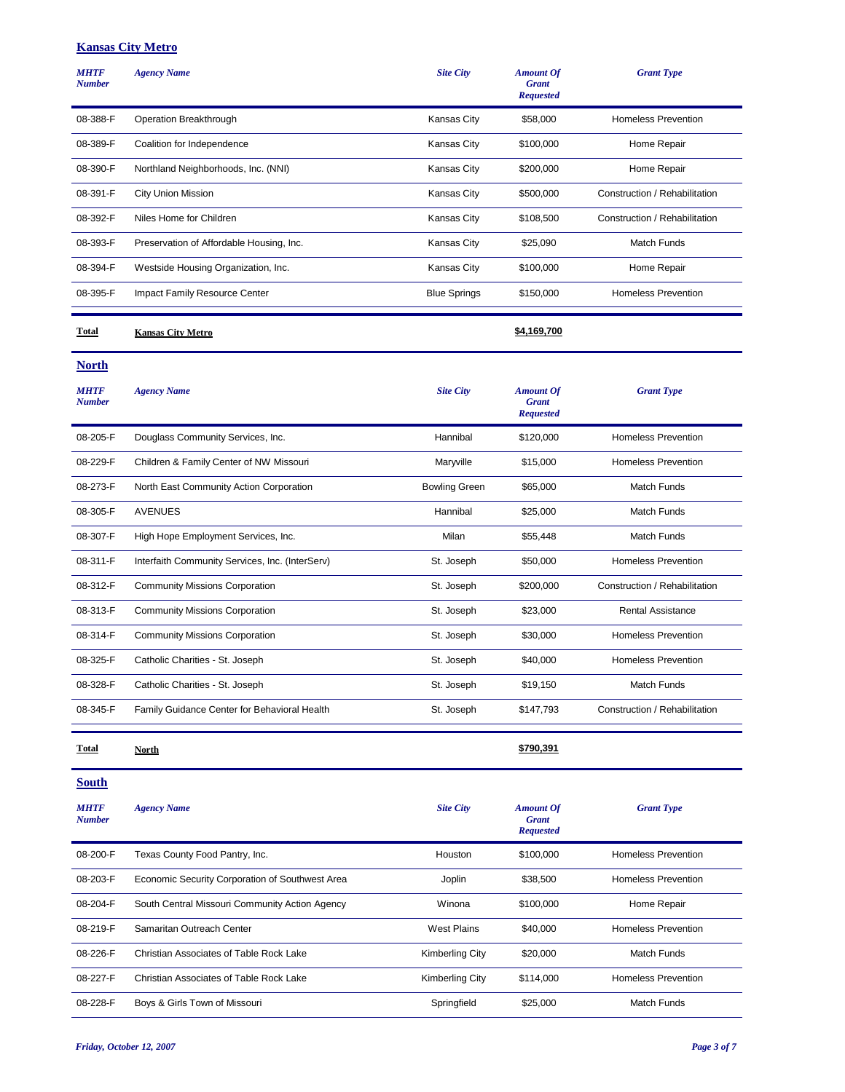#### **Kansas City Metro**

| <b>MHTF</b><br><b>Number</b> | <b>Agency Name</b>                       | <b>Site City</b>    | <b>Amount Of</b><br><b>Grant</b><br><b>Requested</b> | <b>Grant Type</b>             |
|------------------------------|------------------------------------------|---------------------|------------------------------------------------------|-------------------------------|
| 08-388-F                     | Operation Breakthrough                   | <b>Kansas City</b>  | \$58,000                                             | <b>Homeless Prevention</b>    |
| 08-389-F                     | Coalition for Independence               | <b>Kansas City</b>  | \$100,000                                            | Home Repair                   |
| 08-390-F                     | Northland Neighborhoods, Inc. (NNI)      | Kansas City         | \$200,000                                            | Home Repair                   |
| 08-391-F                     | City Union Mission                       | <b>Kansas City</b>  | \$500,000                                            | Construction / Rehabilitation |
| 08-392-F                     | Niles Home for Children                  | <b>Kansas City</b>  | \$108,500                                            | Construction / Rehabilitation |
| 08-393-F                     | Preservation of Affordable Housing, Inc. | Kansas City         | \$25,090                                             | <b>Match Funds</b>            |
| 08-394-F                     | Westside Housing Organization, Inc.      | <b>Kansas City</b>  | \$100,000                                            | Home Repair                   |
| 08-395-F                     | Impact Family Resource Center            | <b>Blue Springs</b> | \$150,000                                            | <b>Homeless Prevention</b>    |
|                              |                                          |                     |                                                      |                               |
| Total                        | <b>Kansas City Metro</b>                 |                     | \$4,169,700                                          |                               |

**North**

| <b>Agency Name</b>                              | <b>Site City</b>     | <b>Amount Of</b><br><b>Grant</b><br><b>Requested</b> | <b>Grant Type</b>             |
|-------------------------------------------------|----------------------|------------------------------------------------------|-------------------------------|
| Douglass Community Services, Inc.               | Hannibal             | \$120,000                                            | <b>Homeless Prevention</b>    |
| Children & Family Center of NW Missouri         | Marwille             | \$15,000                                             | <b>Homeless Prevention</b>    |
| North East Community Action Corporation         | <b>Bowling Green</b> | \$65,000                                             | <b>Match Funds</b>            |
| <b>AVENUES</b>                                  | Hannibal             | \$25,000                                             | <b>Match Funds</b>            |
| High Hope Employment Services, Inc.             | Milan                | \$55,448                                             | Match Funds                   |
| Interfaith Community Services, Inc. (InterServ) | St. Joseph           | \$50,000                                             | <b>Homeless Prevention</b>    |
| <b>Community Missions Corporation</b>           | St. Joseph           | \$200,000                                            | Construction / Rehabilitation |
| <b>Community Missions Corporation</b>           | St. Joseph           | \$23,000                                             | <b>Rental Assistance</b>      |
| <b>Community Missions Corporation</b>           | St. Joseph           | \$30,000                                             | <b>Homeless Prevention</b>    |
| Catholic Charities - St. Joseph                 | St. Joseph           | \$40,000                                             | <b>Homeless Prevention</b>    |
| Catholic Charities - St. Joseph                 | St. Joseph           | \$19,150                                             | <b>Match Funds</b>            |
| Family Guidance Center for Behavioral Health    | St. Joseph           | \$147,793                                            | Construction / Rehabilitation |
|                                                 |                      |                                                      |                               |

**South**

**Total North \$790,391**

| <b>MHTF</b><br><b>Number</b> | <b>Agency Name</b>                              | <b>Site City</b>   | <b>Amount Of</b><br><b>Grant</b><br><b>Requested</b> | <b>Grant Type</b>          |
|------------------------------|-------------------------------------------------|--------------------|------------------------------------------------------|----------------------------|
| 08-200-F                     | Texas County Food Pantry, Inc.                  | Houston            | \$100,000                                            | Homeless Prevention        |
| 08-203-F                     | Economic Security Corporation of Southwest Area | Joplin             | \$38,500                                             | <b>Homeless Prevention</b> |
| 08-204-F                     | South Central Missouri Community Action Agency  | Winona             | \$100,000                                            | Home Repair                |
| 08-219-F                     | Samaritan Outreach Center                       | <b>West Plains</b> | \$40,000                                             | <b>Homeless Prevention</b> |
| 08-226-F                     | Christian Associates of Table Rock Lake         | Kimberling City    | \$20,000                                             | <b>Match Funds</b>         |
| 08-227-F                     | Christian Associates of Table Rock Lake         | Kimberling City    | \$114,000                                            | <b>Homeless Prevention</b> |
| 08-228-F                     | Boys & Girls Town of Missouri                   | Springfield        | \$25,000                                             | <b>Match Funds</b>         |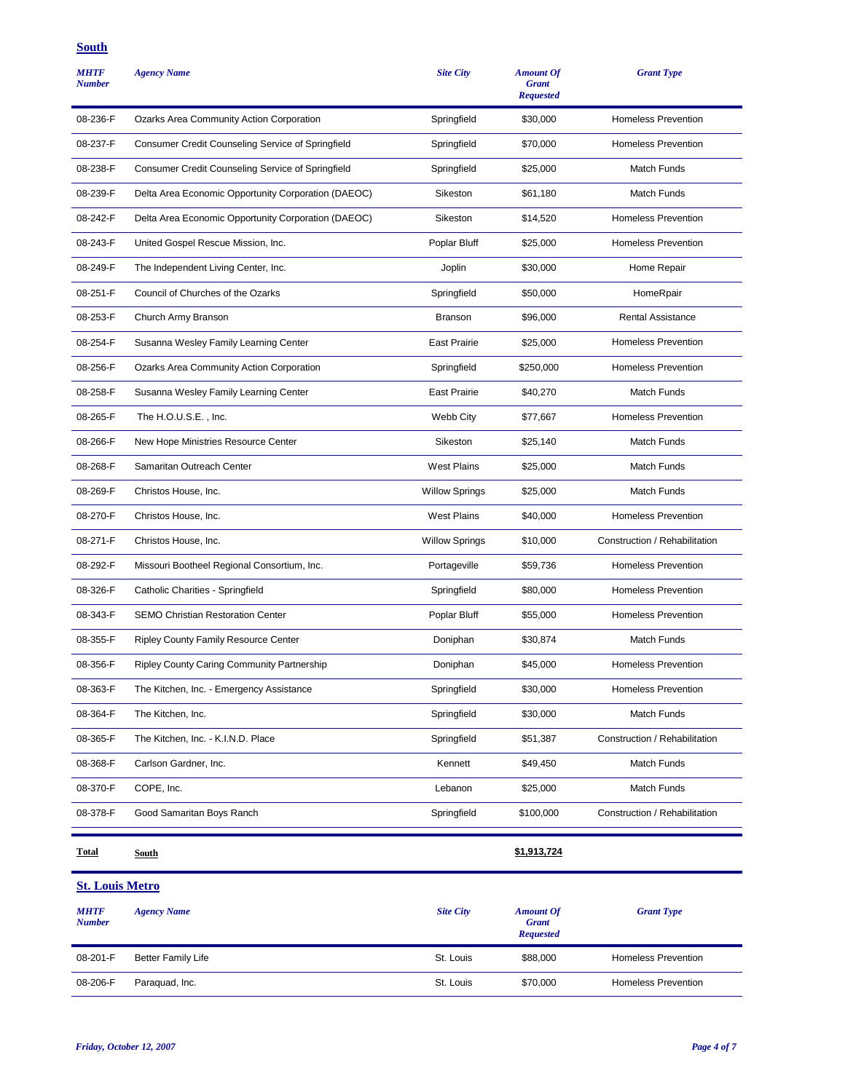## **South**

| <b>MHTF</b><br><b>Number</b> | <b>Agency Name</b>                                  | <b>Site City</b>      | <b>Amount Of</b><br><b>Grant</b><br><b>Requested</b> | <b>Grant Type</b>             |
|------------------------------|-----------------------------------------------------|-----------------------|------------------------------------------------------|-------------------------------|
| 08-236-F                     | Ozarks Area Community Action Corporation            | Springfield           | \$30,000                                             | <b>Homeless Prevention</b>    |
| 08-237-F                     | Consumer Credit Counseling Service of Springfield   | Springfield           | \$70,000                                             | <b>Homeless Prevention</b>    |
| 08-238-F                     | Consumer Credit Counseling Service of Springfield   | Springfield           | \$25,000                                             | Match Funds                   |
| 08-239-F                     | Delta Area Economic Opportunity Corporation (DAEOC) | Sikeston              | \$61,180                                             | Match Funds                   |
| 08-242-F                     | Delta Area Economic Opportunity Corporation (DAEOC) | Sikeston              | \$14,520                                             | <b>Homeless Prevention</b>    |
| 08-243-F                     | United Gospel Rescue Mission, Inc.                  | Poplar Bluff          | \$25,000                                             | <b>Homeless Prevention</b>    |
| 08-249-F                     | The Independent Living Center, Inc.                 | Joplin                | \$30,000                                             | Home Repair                   |
| 08-251-F                     | Council of Churches of the Ozarks                   | Springfield           | \$50,000                                             | HomeRpair                     |
| 08-253-F                     | Church Army Branson                                 | <b>Branson</b>        | \$96,000                                             | <b>Rental Assistance</b>      |
| 08-254-F                     | Susanna Wesley Family Learning Center               | <b>East Prairie</b>   | \$25,000                                             | <b>Homeless Prevention</b>    |
| 08-256-F                     | Ozarks Area Community Action Corporation            | Springfield           | \$250,000                                            | <b>Homeless Prevention</b>    |
| 08-258-F                     | Susanna Wesley Family Learning Center               | <b>East Prairie</b>   | \$40,270                                             | Match Funds                   |
| 08-265-F                     | The H.O.U.S.E., Inc.                                | Webb City             | \$77,667                                             | <b>Homeless Prevention</b>    |
| 08-266-F                     | New Hope Ministries Resource Center                 | Sikeston              | \$25,140                                             | <b>Match Funds</b>            |
| 08-268-F                     | Samaritan Outreach Center                           | <b>West Plains</b>    | \$25,000                                             | Match Funds                   |
| 08-269-F                     | Christos House, Inc.                                | <b>Willow Springs</b> | \$25,000                                             | Match Funds                   |
| 08-270-F                     | Christos House, Inc.                                | <b>West Plains</b>    | \$40,000                                             | <b>Homeless Prevention</b>    |
| 08-271-F                     | Christos House, Inc.                                | <b>Willow Springs</b> | \$10,000                                             | Construction / Rehabilitation |
| 08-292-F                     | Missouri Bootheel Regional Consortium, Inc.         | Portageville          | \$59,736                                             | <b>Homeless Prevention</b>    |
| 08-326-F                     | Catholic Charities - Springfield                    | Springfield           | \$80,000                                             | <b>Homeless Prevention</b>    |
| 08-343-F                     | <b>SEMO Christian Restoration Center</b>            | Poplar Bluff          | \$55,000                                             | <b>Homeless Prevention</b>    |
| 08-355-F                     | <b>Ripley County Family Resource Center</b>         | Doniphan              | \$30,874                                             | Match Funds                   |
| 08-356-F                     | Ripley County Caring Community Partnership          | Doniphan              | \$45,000                                             | <b>Homeless Prevention</b>    |
| 08-363-F                     | The Kitchen, Inc. - Emergency Assistance            | Springfield           | \$30,000                                             | <b>Homeless Prevention</b>    |
| 08-364-F                     | The Kitchen, Inc.                                   | Springfield           | \$30,000                                             | Match Funds                   |
| 08-365-F                     | The Kitchen, Inc. - K.I.N.D. Place                  | Springfield           | \$51,387                                             | Construction / Rehabilitation |
| 08-368-F                     | Carlson Gardner, Inc.                               | Kennett               | \$49,450                                             | Match Funds                   |
| 08-370-F                     | COPE, Inc.                                          | Lebanon               | \$25,000                                             | Match Funds                   |
| 08-378-F                     | Good Samaritan Boys Ranch                           | Springfield           | \$100,000                                            | Construction / Rehabilitation |
| <b>Total</b>                 | South                                               |                       | \$1,913,724                                          |                               |

| <b>MHTF</b><br><b>Number</b> | <b>Agency Name</b>        | <b>Site City</b> | <b>Amount Of</b><br><b>Grant</b><br><b>Requested</b> | <b>Grant Type</b>          |
|------------------------------|---------------------------|------------------|------------------------------------------------------|----------------------------|
| 08-201-F                     | <b>Better Family Life</b> | St. Louis        | \$88,000                                             | <b>Homeless Prevention</b> |
| 08-206-F                     | Paraguad, Inc.            | St. Louis        | \$70,000                                             | <b>Homeless Prevention</b> |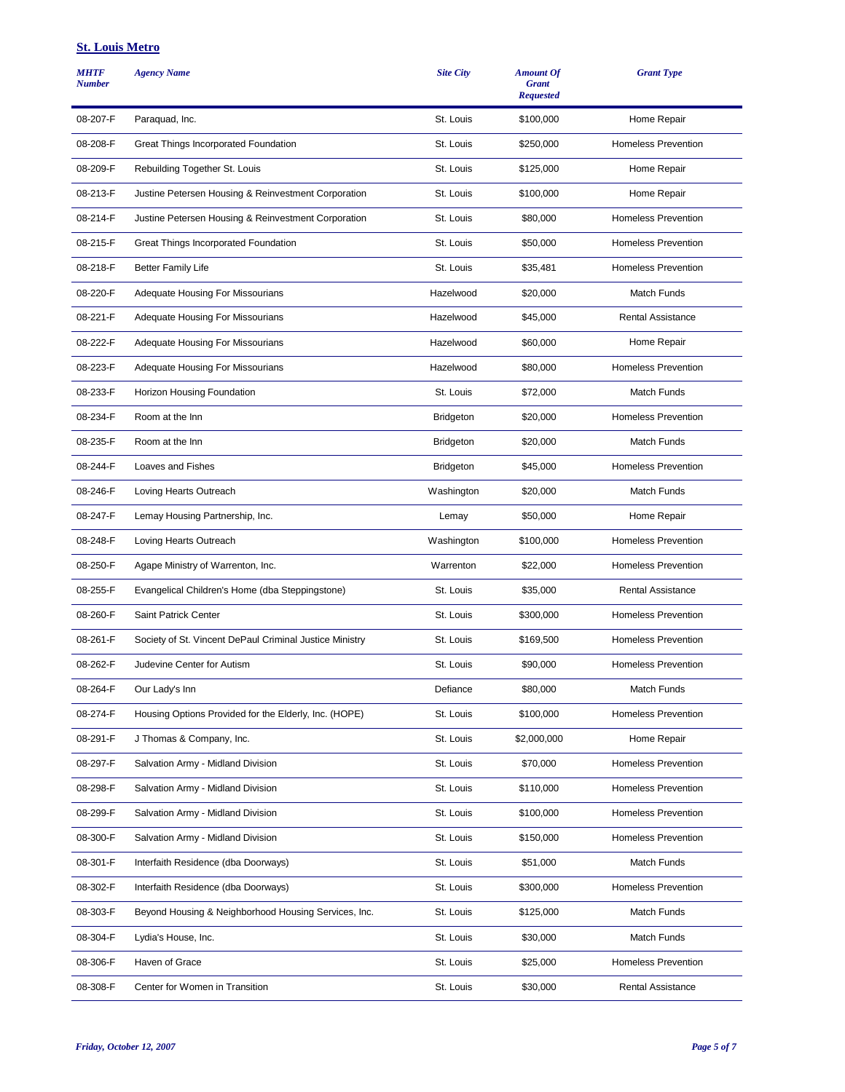| <b>MHTF</b><br><b>Number</b> | <b>Agency Name</b>                                      | <b>Site City</b> | <b>Amount Of</b><br><b>Grant</b><br><b>Requested</b> | <b>Grant Type</b>          |
|------------------------------|---------------------------------------------------------|------------------|------------------------------------------------------|----------------------------|
| 08-207-F                     | Paraquad, Inc.                                          | St. Louis        | \$100,000                                            | Home Repair                |
| 08-208-F                     | Great Things Incorporated Foundation                    | St. Louis        | \$250,000                                            | <b>Homeless Prevention</b> |
| 08-209-F                     | Rebuilding Together St. Louis                           | St. Louis        | \$125,000                                            | Home Repair                |
| 08-213-F                     | Justine Petersen Housing & Reinvestment Corporation     | St. Louis        | \$100,000                                            | Home Repair                |
| 08-214-F                     | Justine Petersen Housing & Reinvestment Corporation     | St. Louis        | \$80,000                                             | <b>Homeless Prevention</b> |
| 08-215-F                     | Great Things Incorporated Foundation                    | St. Louis        | \$50,000                                             | <b>Homeless Prevention</b> |
| 08-218-F                     | <b>Better Family Life</b>                               | St. Louis        | \$35,481                                             | <b>Homeless Prevention</b> |
| 08-220-F                     | Adequate Housing For Missourians                        | Hazelwood        | \$20,000                                             | <b>Match Funds</b>         |
| 08-221-F                     | Adequate Housing For Missourians                        | Hazelwood        | \$45,000                                             | <b>Rental Assistance</b>   |
| 08-222-F                     | Adequate Housing For Missourians                        | Hazelwood        | \$60,000                                             | Home Repair                |
| 08-223-F                     | <b>Adequate Housing For Missourians</b>                 | Hazelwood        | \$80,000                                             | <b>Homeless Prevention</b> |
| 08-233-F                     | Horizon Housing Foundation                              | St. Louis        | \$72,000                                             | <b>Match Funds</b>         |
| 08-234-F                     | Room at the Inn                                         | <b>Bridgeton</b> | \$20,000                                             | <b>Homeless Prevention</b> |
| 08-235-F                     | Room at the Inn                                         | <b>Bridgeton</b> | \$20,000                                             | <b>Match Funds</b>         |
| 08-244-F                     | Loaves and Fishes                                       | <b>Bridgeton</b> | \$45,000                                             | <b>Homeless Prevention</b> |
| 08-246-F                     | Loving Hearts Outreach                                  | Washington       | \$20,000                                             | <b>Match Funds</b>         |
| 08-247-F                     | Lemay Housing Partnership, Inc.                         | Lemay            | \$50,000                                             | Home Repair                |
| 08-248-F                     | Loving Hearts Outreach                                  | Washington       | \$100,000                                            | <b>Homeless Prevention</b> |
| 08-250-F                     | Agape Ministry of Warrenton, Inc.                       | Warrenton        | \$22,000                                             | <b>Homeless Prevention</b> |
| 08-255-F                     | Evangelical Children's Home (dba Steppingstone)         | St. Louis        | \$35,000                                             | <b>Rental Assistance</b>   |
| 08-260-F                     | Saint Patrick Center                                    | St. Louis        | \$300,000                                            | <b>Homeless Prevention</b> |
| 08-261-F                     | Society of St. Vincent DePaul Criminal Justice Ministry | St. Louis        | \$169,500                                            | <b>Homeless Prevention</b> |
| 08-262-F                     | Judevine Center for Autism                              | St. Louis        | \$90,000                                             | <b>Homeless Prevention</b> |
| 08-264-F                     | Our Lady's Inn                                          | Defiance         | \$80,000                                             | <b>Match Funds</b>         |
| 08-274-F                     | Housing Options Provided for the Elderly, Inc. (HOPE)   | St. Louis        | \$100,000                                            | Homeless Prevention        |
| 08-291-F                     | J Thomas & Company, Inc.                                | St. Louis        | \$2,000,000                                          | Home Repair                |
| 08-297-F                     | Salvation Army - Midland Division                       | St. Louis        | \$70,000                                             | <b>Homeless Prevention</b> |
| 08-298-F                     | Salvation Army - Midland Division                       | St. Louis        | \$110,000                                            | <b>Homeless Prevention</b> |
| 08-299-F                     | Salvation Army - Midland Division                       | St. Louis        | \$100,000                                            | <b>Homeless Prevention</b> |
| 08-300-F                     | Salvation Army - Midland Division                       | St. Louis        | \$150,000                                            | <b>Homeless Prevention</b> |
| 08-301-F                     | Interfaith Residence (dba Doorways)                     | St. Louis        | \$51,000                                             | Match Funds                |
| 08-302-F                     | Interfaith Residence (dba Doorways)                     | St. Louis        | \$300,000                                            | <b>Homeless Prevention</b> |
| 08-303-F                     | Beyond Housing & Neighborhood Housing Services, Inc.    | St. Louis        | \$125,000                                            | <b>Match Funds</b>         |
| 08-304-F                     | Lydia's House, Inc.                                     | St. Louis        | \$30,000                                             | <b>Match Funds</b>         |
| 08-306-F                     | Haven of Grace                                          | St. Louis        | \$25,000                                             | <b>Homeless Prevention</b> |
| 08-308-F                     | Center for Women in Transition                          | St. Louis        | \$30,000                                             | Rental Assistance          |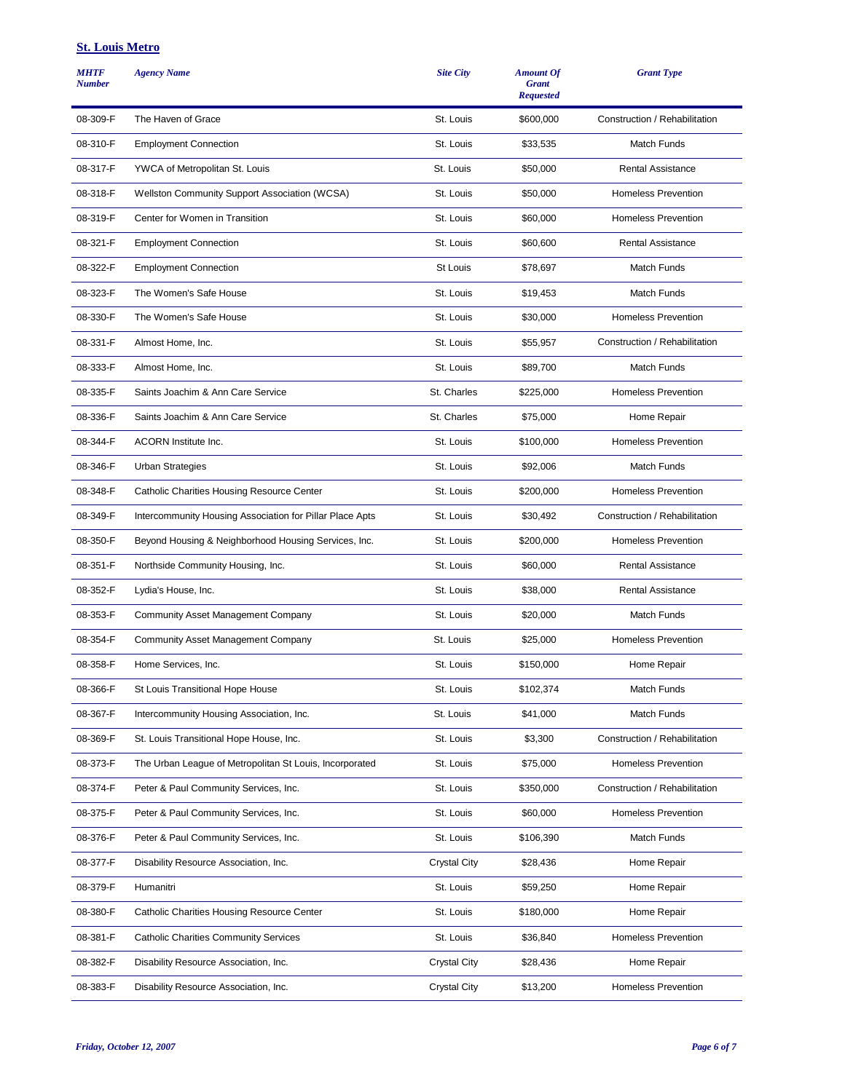| <b>MHTF</b><br><b>Number</b> | <b>Agency Name</b>                                       | <b>Site City</b>    | <b>Amount Of</b><br><b>Grant</b><br><b>Requested</b> | <b>Grant Type</b>             |
|------------------------------|----------------------------------------------------------|---------------------|------------------------------------------------------|-------------------------------|
| 08-309-F                     | The Haven of Grace                                       | St. Louis           | \$600,000                                            | Construction / Rehabilitation |
| 08-310-F                     | <b>Employment Connection</b>                             | St. Louis           | \$33,535                                             | <b>Match Funds</b>            |
| 08-317-F                     | YWCA of Metropolitan St. Louis                           | St. Louis           | \$50,000                                             | <b>Rental Assistance</b>      |
| 08-318-F                     | <b>Wellston Community Support Association (WCSA)</b>     | St. Louis           | \$50,000                                             | <b>Homeless Prevention</b>    |
| 08-319-F                     | Center for Women in Transition                           | St. Louis           | \$60,000                                             | <b>Homeless Prevention</b>    |
| 08-321-F                     | <b>Employment Connection</b>                             | St. Louis           | \$60,600                                             | <b>Rental Assistance</b>      |
| 08-322-F                     | <b>Employment Connection</b>                             | St Louis            | \$78,697                                             | Match Funds                   |
| 08-323-F                     | The Women's Safe House                                   | St. Louis           | \$19,453                                             | Match Funds                   |
| 08-330-F                     | The Women's Safe House                                   | St. Louis           | \$30,000                                             | <b>Homeless Prevention</b>    |
| 08-331-F                     | Almost Home, Inc.                                        | St. Louis           | \$55,957                                             | Construction / Rehabilitation |
| 08-333-F                     | Almost Home, Inc.                                        | St. Louis           | \$89.700                                             | Match Funds                   |
| 08-335-F                     | Saints Joachim & Ann Care Service                        | St. Charles         | \$225,000                                            | <b>Homeless Prevention</b>    |
| 08-336-F                     | Saints Joachim & Ann Care Service                        | St. Charles         | \$75,000                                             | Home Repair                   |
| 08-344-F                     | <b>ACORN</b> Institute Inc.                              | St. Louis           | \$100,000                                            | <b>Homeless Prevention</b>    |
| 08-346-F                     | <b>Urban Strategies</b>                                  | St. Louis           | \$92,006                                             | Match Funds                   |
| 08-348-F                     | Catholic Charities Housing Resource Center               | St. Louis           | \$200,000                                            | <b>Homeless Prevention</b>    |
| 08-349-F                     | Intercommunity Housing Association for Pillar Place Apts | St. Louis           | \$30,492                                             | Construction / Rehabilitation |
| 08-350-F                     | Beyond Housing & Neighborhood Housing Services, Inc.     | St. Louis           | \$200,000                                            | <b>Homeless Prevention</b>    |
| 08-351-F                     | Northside Community Housing, Inc.                        | St. Louis           | \$60,000                                             | <b>Rental Assistance</b>      |
| 08-352-F                     | Lydia's House, Inc.                                      | St. Louis           | \$38,000                                             | <b>Rental Assistance</b>      |
| 08-353-F                     | <b>Community Asset Management Company</b>                | St. Louis           | \$20,000                                             | Match Funds                   |
| 08-354-F                     | <b>Community Asset Management Company</b>                | St. Louis           | \$25,000                                             | <b>Homeless Prevention</b>    |
| 08-358-F                     | Home Services, Inc.                                      | St. Louis           | \$150,000                                            | Home Repair                   |
| 08-366-F                     | St Louis Transitional Hope House                         | St. Louis           | \$102,374                                            | Match Funds                   |
| 08-367-F                     | Intercommunity Housing Association, Inc.                 | St. Louis           | \$41,000                                             | Match Funds                   |
| 08-369-F                     | St. Louis Transitional Hope House, Inc.                  | St. Louis           | \$3,300                                              | Construction / Rehabilitation |
| 08-373-F                     | The Urban League of Metropolitan St Louis, Incorporated  | St. Louis           | \$75,000                                             | <b>Homeless Prevention</b>    |
| 08-374-F                     | Peter & Paul Community Services, Inc.                    | St. Louis           | \$350,000                                            | Construction / Rehabilitation |
| 08-375-F                     | Peter & Paul Community Services, Inc.                    | St. Louis           | \$60,000                                             | <b>Homeless Prevention</b>    |
| 08-376-F                     | Peter & Paul Community Services, Inc.                    | St. Louis           | \$106,390                                            | Match Funds                   |
| 08-377-F                     | Disability Resource Association, Inc.                    | <b>Crystal City</b> | \$28,436                                             | Home Repair                   |
| 08-379-F                     | Humanitri                                                | St. Louis           | \$59,250                                             | Home Repair                   |
| 08-380-F                     | Catholic Charities Housing Resource Center               | St. Louis           | \$180,000                                            | Home Repair                   |
| 08-381-F                     | <b>Catholic Charities Community Services</b>             | St. Louis           | \$36,840                                             | <b>Homeless Prevention</b>    |
| 08-382-F                     | Disability Resource Association, Inc.                    | <b>Crystal City</b> | \$28,436                                             | Home Repair                   |
| 08-383-F                     | Disability Resource Association, Inc.                    | <b>Crystal City</b> | \$13,200                                             | <b>Homeless Prevention</b>    |